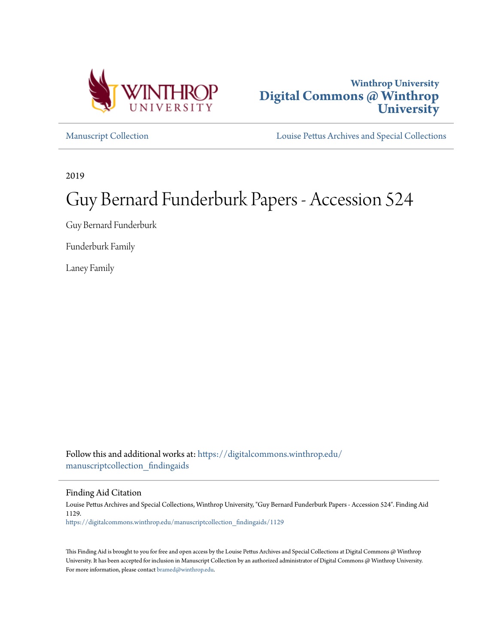



[Manuscript Collection](https://digitalcommons.winthrop.edu/manuscriptcollection_findingaids?utm_source=digitalcommons.winthrop.edu%2Fmanuscriptcollection_findingaids%2F1129&utm_medium=PDF&utm_campaign=PDFCoverPages) [Louise Pettus Archives and Special Collections](https://digitalcommons.winthrop.edu/pettus_archives?utm_source=digitalcommons.winthrop.edu%2Fmanuscriptcollection_findingaids%2F1129&utm_medium=PDF&utm_campaign=PDFCoverPages)

2019

# Guy Bernard Funderburk Papers - Accession 524

Guy Bernard Funderburk

Funderburk Family

Laney Family

Follow this and additional works at: [https://digitalcommons.winthrop.edu/](https://digitalcommons.winthrop.edu/manuscriptcollection_findingaids?utm_source=digitalcommons.winthrop.edu%2Fmanuscriptcollection_findingaids%2F1129&utm_medium=PDF&utm_campaign=PDFCoverPages) [manuscriptcollection\\_findingaids](https://digitalcommons.winthrop.edu/manuscriptcollection_findingaids?utm_source=digitalcommons.winthrop.edu%2Fmanuscriptcollection_findingaids%2F1129&utm_medium=PDF&utm_campaign=PDFCoverPages)

Finding Aid Citation

Louise Pettus Archives and Special Collections, Winthrop University, "Guy Bernard Funderburk Papers - Accession 524". Finding Aid 1129. [https://digitalcommons.winthrop.edu/manuscriptcollection\\_findingaids/1129](https://digitalcommons.winthrop.edu/manuscriptcollection_findingaids/1129?utm_source=digitalcommons.winthrop.edu%2Fmanuscriptcollection_findingaids%2F1129&utm_medium=PDF&utm_campaign=PDFCoverPages)

This Finding Aid is brought to you for free and open access by the Louise Pettus Archives and Special Collections at Digital Commons @ Winthrop University. It has been accepted for inclusion in Manuscript Collection by an authorized administrator of Digital Commons @ Winthrop University. For more information, please contact [bramed@winthrop.edu.](mailto:bramed@winthrop.edu)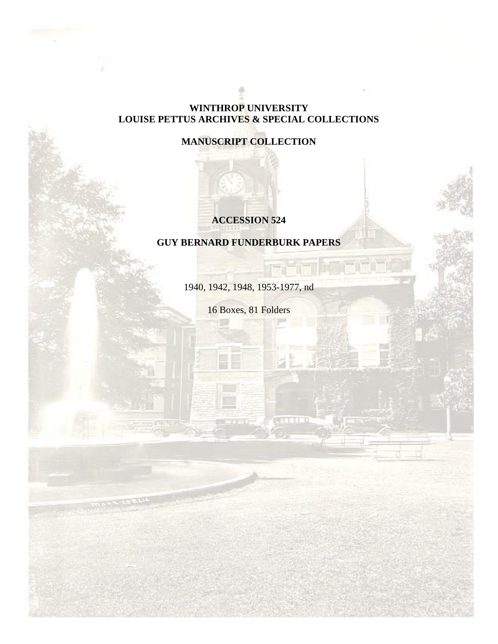#### **WINTHROP UNIVERSITY LOUISE PETTUS ARCHIVES & SPECIAL COLLECTIONS**

### **MANUSCRIPT COLLECTION**

#### **ACCESSION 524**

## **GUY BERNARD FUNDERBURK PAPERS**

1940, 1942, 1948, 1953-1977, nd

16 Boxes, 81 Folders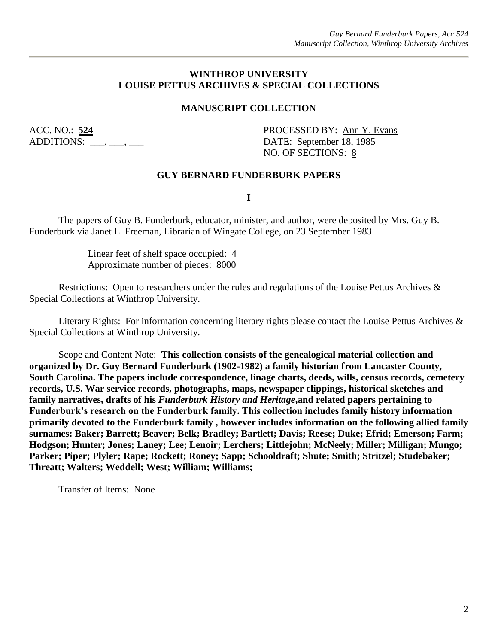#### **WINTHROP UNIVERSITY LOUISE PETTUS ARCHIVES & SPECIAL COLLECTIONS**

#### **MANUSCRIPT COLLECTION**

ADDITIONS:  $\_\_\_\,,\_\_\_\,\_\_\_\$ 

ACC. NO.: **524** PROCESSED BY: Ann Y. Evans NO. OF SECTIONS: 8

#### **GUY BERNARD FUNDERBURK PAPERS**

**I**

The papers of Guy B. Funderburk, educator, minister, and author, were deposited by Mrs. Guy B. Funderburk via Janet L. Freeman, Librarian of Wingate College, on 23 September 1983.

> Linear feet of shelf space occupied: 4 Approximate number of pieces: 8000

Restrictions: Open to researchers under the rules and regulations of the Louise Pettus Archives & Special Collections at Winthrop University.

Literary Rights: For information concerning literary rights please contact the Louise Pettus Archives & Special Collections at Winthrop University.

Scope and Content Note: **This collection consists of the genealogical material collection and organized by Dr. Guy Bernard Funderburk (1902-1982) a family historian from Lancaster County, South Carolina. The papers include correspondence, linage charts, deeds, wills, census records, cemetery records, U.S. War service records, photographs, maps, newspaper clippings, historical sketches and family narratives, drafts of his** *Funderburk History and Heritage***,and related papers pertaining to Funderburk's research on the Funderburk family. This collection includes family history information primarily devoted to the Funderburk family , however includes information on the following allied family surnames: Baker; Barrett; Beaver; Belk; Bradley; Bartlett; Davis; Reese; Duke; Efrid; Emerson; Farm; Hodgson; Hunter; Jones; Laney; Lee; Lenoir; Lerchers; Littlejohn; McNeely; Miller; Milligan; Mungo; Parker; Piper; Plyler; Rape; Rockett; Roney; Sapp; Schooldraft; Shute; Smith; Stritzel; Studebaker; Threatt; Walters; Weddell; West; William; Williams;**

Transfer of Items: None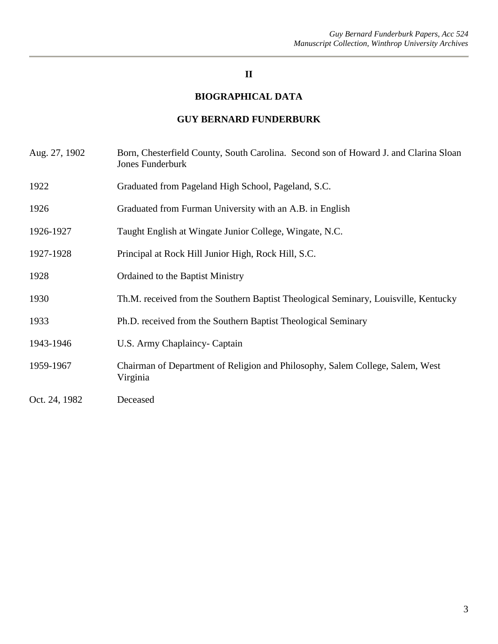#### **II**

#### **BIOGRAPHICAL DATA**

#### **GUY BERNARD FUNDERBURK**

- Aug. 27, 1902 Born, Chesterfield County, South Carolina. Second son of Howard J. and Clarina Sloan Jones Funderburk
- 1922 Graduated from Pageland High School, Pageland, S.C.
- 1926 Graduated from Furman University with an A.B. in English
- 1926-1927 Taught English at Wingate Junior College, Wingate, N.C.
- 1927-1928 Principal at Rock Hill Junior High, Rock Hill, S.C.
- 1928 Ordained to the Baptist Ministry
- 1930 Th.M. received from the Southern Baptist Theological Seminary, Louisville, Kentucky
- 1933 Ph.D. received from the Southern Baptist Theological Seminary
- 1943-1946 U.S. Army Chaplaincy- Captain
- 1959-1967 Chairman of Department of Religion and Philosophy, Salem College, Salem, West Virginia
- Oct. 24, 1982 Deceased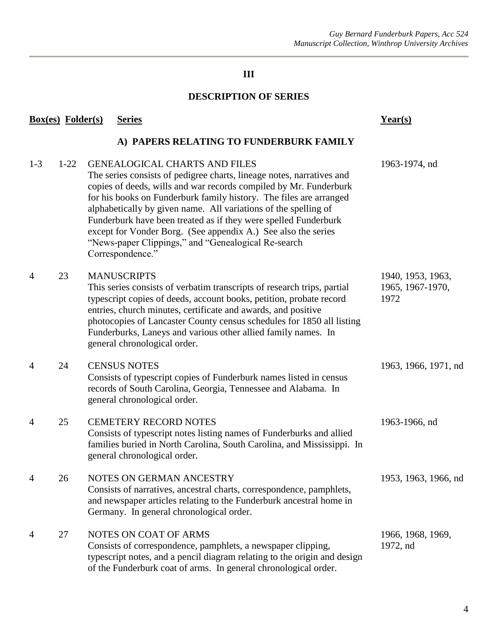## **III**

#### **DESCRIPTION OF SERIES**

|       | <b>Box(es)</b> Folder(s) | <b>Series</b>                                                                                                                                                                                                                                                                                                                                                                                                                                                                                                                               | Year(s)                                       |
|-------|--------------------------|---------------------------------------------------------------------------------------------------------------------------------------------------------------------------------------------------------------------------------------------------------------------------------------------------------------------------------------------------------------------------------------------------------------------------------------------------------------------------------------------------------------------------------------------|-----------------------------------------------|
|       |                          | A) PAPERS RELATING TO FUNDERBURK FAMILY                                                                                                                                                                                                                                                                                                                                                                                                                                                                                                     |                                               |
| $1-3$ | $1 - 22$                 | <b>GENEALOGICAL CHARTS AND FILES</b><br>The series consists of pedigree charts, lineage notes, narratives and<br>copies of deeds, wills and war records compiled by Mr. Funderburk<br>for his books on Funderburk family history. The files are arranged<br>alphabetically by given name. All variations of the spelling of<br>Funderburk have been treated as if they were spelled Funderburk<br>except for Vonder Borg. (See appendix A.) See also the series<br>"News-paper Clippings," and "Genealogical Re-search"<br>Correspondence." | 1963-1974, nd                                 |
| 4     | 23                       | <b>MANUSCRIPTS</b><br>This series consists of verbatim transcripts of research trips, partial<br>typescript copies of deeds, account books, petition, probate record<br>entries, church minutes, certificate and awards, and positive<br>photocopies of Lancaster County census schedules for 1850 all listing<br>Funderburks, Laneys and various other allied family names. In<br>general chronological order.                                                                                                                             | 1940, 1953, 1963,<br>1965, 1967-1970,<br>1972 |
| 4     | 24                       | <b>CENSUS NOTES</b><br>Consists of typescript copies of Funderburk names listed in census<br>records of South Carolina, Georgia, Tennessee and Alabama. In<br>general chronological order.                                                                                                                                                                                                                                                                                                                                                  | 1963, 1966, 1971, nd                          |
| 4     | 25                       | <b>CEMETERY RECORD NOTES</b><br>Consists of typescript notes listing names of Funderburks and allied<br>families buried in North Carolina, South Carolina, and Mississippi. In<br>general chronological order.                                                                                                                                                                                                                                                                                                                              | 1963-1966, nd                                 |
| 4     | 26                       | NOTES ON GERMAN ANCESTRY<br>Consists of narratives, ancestral charts, correspondence, pamphlets,<br>and newspaper articles relating to the Funderburk ancestral home in<br>Germany. In general chronological order.                                                                                                                                                                                                                                                                                                                         | 1953, 1963, 1966, nd                          |
| 4     | 27                       | NOTES ON COAT OF ARMS<br>Consists of correspondence, pamphlets, a newspaper clipping,<br>typescript notes, and a pencil diagram relating to the origin and design<br>of the Funderburk coat of arms. In general chronological order.                                                                                                                                                                                                                                                                                                        | 1966, 1968, 1969,<br>1972, nd                 |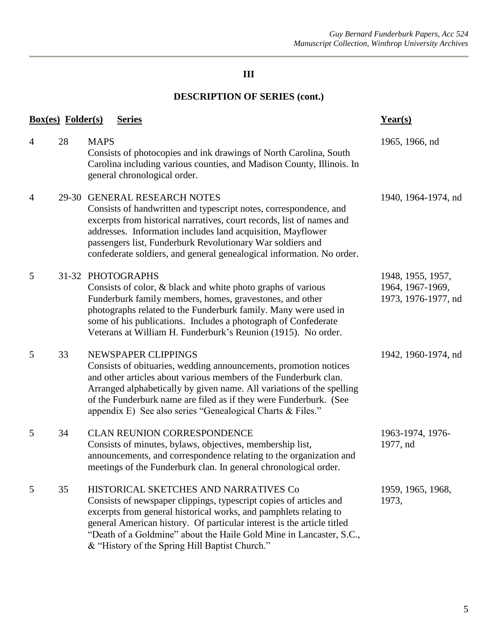## **III**

## **DESCRIPTION OF SERIES (cont.)**

| <b>Box(es)</b> Folder(s) |    | <b>Series</b>                                                                                                                                                                                                                                                                                                                                                                       | Year(s)                                                      |
|--------------------------|----|-------------------------------------------------------------------------------------------------------------------------------------------------------------------------------------------------------------------------------------------------------------------------------------------------------------------------------------------------------------------------------------|--------------------------------------------------------------|
| $\overline{4}$           | 28 | <b>MAPS</b><br>Consists of photocopies and ink drawings of North Carolina, South<br>Carolina including various counties, and Madison County, Illinois. In<br>general chronological order.                                                                                                                                                                                           | 1965, 1966, nd                                               |
| $\overline{4}$           |    | 29-30 GENERAL RESEARCH NOTES<br>Consists of handwritten and typescript notes, correspondence, and<br>excerpts from historical narratives, court records, list of names and<br>addresses. Information includes land acquisition, Mayflower<br>passengers list, Funderburk Revolutionary War soldiers and<br>confederate soldiers, and general genealogical information. No order.    | 1940, 1964-1974, nd                                          |
| 5                        |    | 31-32 PHOTOGRAPHS<br>Consists of color, & black and white photo graphs of various<br>Funderburk family members, homes, gravestones, and other<br>photographs related to the Funderburk family. Many were used in<br>some of his publications. Includes a photograph of Confederate<br>Veterans at William H. Funderburk's Reunion (1915). No order.                                 | 1948, 1955, 1957,<br>1964, 1967-1969,<br>1973, 1976-1977, nd |
| 5                        | 33 | NEWSPAPER CLIPPINGS<br>Consists of obituaries, wedding announcements, promotion notices<br>and other articles about various members of the Funderburk clan.<br>Arranged alphabetically by given name. All variations of the spelling<br>of the Funderburk name are filed as if they were Funderburk. (See<br>appendix E) See also series "Genealogical Charts & Files."             | 1942, 1960-1974, nd                                          |
| 5                        | 34 | <b>CLAN REUNION CORRESPONDENCE</b><br>Consists of minutes, bylaws, objectives, membership list,<br>announcements, and correspondence relating to the organization and<br>meetings of the Funderburk clan. In general chronological order.                                                                                                                                           | 1963-1974, 1976-<br>1977, nd                                 |
| 5                        | 35 | HISTORICAL SKETCHES AND NARRATIVES Co<br>Consists of newspaper clippings, typescript copies of articles and<br>excerpts from general historical works, and pamphlets relating to<br>general American history. Of particular interest is the article titled<br>"Death of a Goldmine" about the Haile Gold Mine in Lancaster, S.C.,<br>& "History of the Spring Hill Baptist Church." | 1959, 1965, 1968,<br>1973,                                   |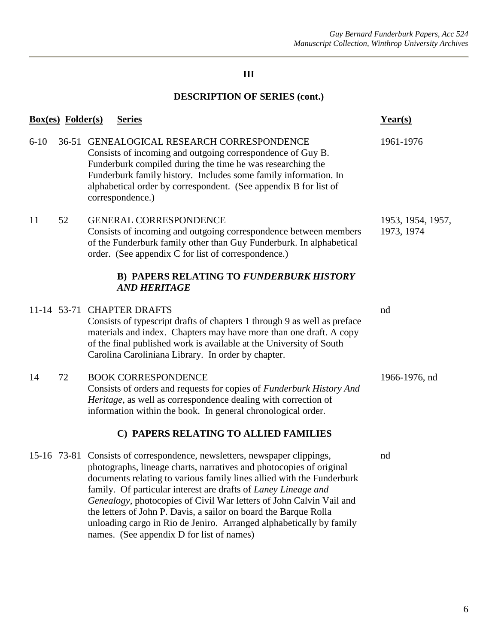## **III**

## **DESCRIPTION OF SERIES (cont.)**

|          | <b>Box(es)</b> Folder(s) | <b>Series</b>                                                                                                                                                                                                                                                                                                                                                                                                                                                                                                                                              | Year(s)                         |
|----------|--------------------------|------------------------------------------------------------------------------------------------------------------------------------------------------------------------------------------------------------------------------------------------------------------------------------------------------------------------------------------------------------------------------------------------------------------------------------------------------------------------------------------------------------------------------------------------------------|---------------------------------|
| $6 - 10$ |                          | 36-51 GENEALOGICAL RESEARCH CORRESPONDENCE<br>Consists of incoming and outgoing correspondence of Guy B.<br>Funderburk compiled during the time he was researching the<br>Funderburk family history. Includes some family information. In<br>alphabetical order by correspondent. (See appendix B for list of<br>correspondence.)                                                                                                                                                                                                                          | 1961-1976                       |
| 11       | 52                       | <b>GENERAL CORRESPONDENCE</b><br>Consists of incoming and outgoing correspondence between members<br>of the Funderburk family other than Guy Funderburk. In alphabetical<br>order. (See appendix C for list of correspondence.)                                                                                                                                                                                                                                                                                                                            | 1953, 1954, 1957,<br>1973, 1974 |
|          |                          | <b>B) PAPERS RELATING TO FUNDERBURK HISTORY</b><br><b>AND HERITAGE</b>                                                                                                                                                                                                                                                                                                                                                                                                                                                                                     |                                 |
|          |                          | 11-14 53-71 CHAPTER DRAFTS<br>Consists of typescript drafts of chapters 1 through 9 as well as preface<br>materials and index. Chapters may have more than one draft. A copy<br>of the final published work is available at the University of South<br>Carolina Caroliniana Library. In order by chapter.                                                                                                                                                                                                                                                  | nd                              |
| 14       | 72                       | <b>BOOK CORRESPONDENCE</b><br>Consists of orders and requests for copies of Funderburk History And<br>Heritage, as well as correspondence dealing with correction of<br>information within the book. In general chronological order.                                                                                                                                                                                                                                                                                                                       | 1966-1976, nd                   |
|          |                          | C) PAPERS RELATING TO ALLIED FAMILIES                                                                                                                                                                                                                                                                                                                                                                                                                                                                                                                      |                                 |
|          |                          | 15-16 73-81 Consists of correspondence, newsletters, newspaper clippings,<br>photographs, lineage charts, narratives and photocopies of original<br>documents relating to various family lines allied with the Funderburk<br>family. Of particular interest are drafts of Laney Lineage and<br>Genealogy, photocopies of Civil War letters of John Calvin Vail and<br>the letters of John P. Davis, a sailor on board the Barque Rolla<br>unloading cargo in Rio de Jeniro. Arranged alphabetically by family<br>names. (See appendix D for list of names) | nd                              |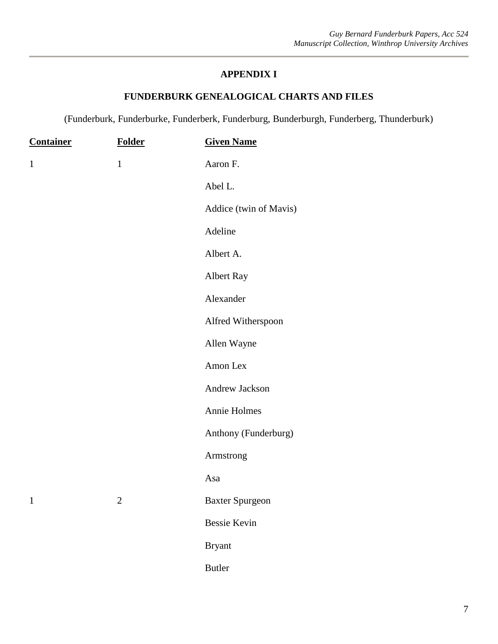#### **FUNDERBURK GENEALOGICAL CHARTS AND FILES**

(Funderburk, Funderburke, Funderberk, Funderburg, Bunderburgh, Funderberg, Thunderburk)

| <b>Container</b> | <b>Folder</b>  | <b>Given Name</b>      |
|------------------|----------------|------------------------|
| $\mathbf{1}$     | $\mathbf{1}$   | Aaron F.               |
|                  |                | Abel L.                |
|                  |                | Addice (twin of Mavis) |
|                  |                | Adeline                |
|                  |                | Albert A.              |
|                  |                | Albert Ray             |
|                  |                | Alexander              |
|                  |                | Alfred Witherspoon     |
|                  |                | Allen Wayne            |
|                  |                | Amon Lex               |
|                  |                | Andrew Jackson         |
|                  |                | Annie Holmes           |
|                  |                | Anthony (Funderburg)   |
|                  |                | Armstrong              |
|                  |                | Asa                    |
| $\mathbf{1}$     | $\overline{2}$ | <b>Baxter Spurgeon</b> |
|                  |                | <b>Bessie Kevin</b>    |
|                  |                | <b>Bryant</b>          |
|                  |                | <b>Butler</b>          |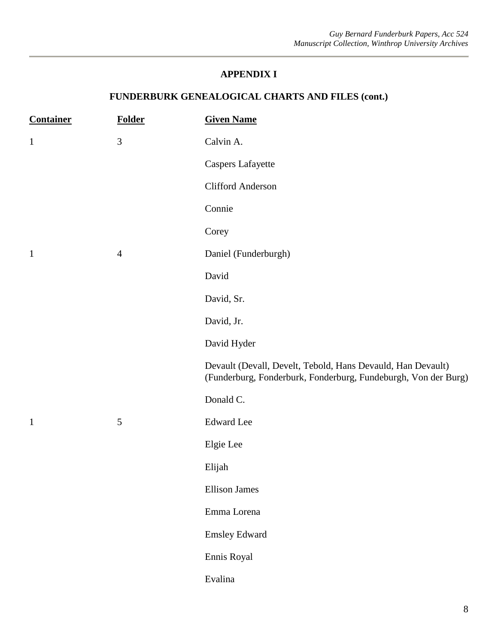| <b>Container</b> | <b>Folder</b>  | <b>Given Name</b>                                                                                                             |
|------------------|----------------|-------------------------------------------------------------------------------------------------------------------------------|
| $\mathbf{1}$     | $\mathfrak{Z}$ | Calvin A.                                                                                                                     |
|                  |                | <b>Caspers Lafayette</b>                                                                                                      |
|                  |                | <b>Clifford Anderson</b>                                                                                                      |
|                  |                | Connie                                                                                                                        |
|                  |                | Corey                                                                                                                         |
| $\mathbf{1}$     | $\overline{4}$ | Daniel (Funderburgh)                                                                                                          |
|                  |                | David                                                                                                                         |
|                  |                | David, Sr.                                                                                                                    |
|                  |                | David, Jr.                                                                                                                    |
|                  |                | David Hyder                                                                                                                   |
|                  |                | Devault (Devall, Develt, Tebold, Hans Devauld, Han Devault)<br>(Funderburg, Fonderburk, Fonderburg, Fundeburgh, Von der Burg) |
|                  |                | Donald C.                                                                                                                     |
| $\mathbf{1}$     | $\sqrt{5}$     | <b>Edward</b> Lee                                                                                                             |
|                  |                | Elgie Lee                                                                                                                     |
|                  |                | Elijah                                                                                                                        |
|                  |                | <b>Ellison James</b>                                                                                                          |
|                  |                | Emma Lorena                                                                                                                   |
|                  |                | <b>Emsley Edward</b>                                                                                                          |
|                  |                | Ennis Royal                                                                                                                   |
|                  |                | Evalina                                                                                                                       |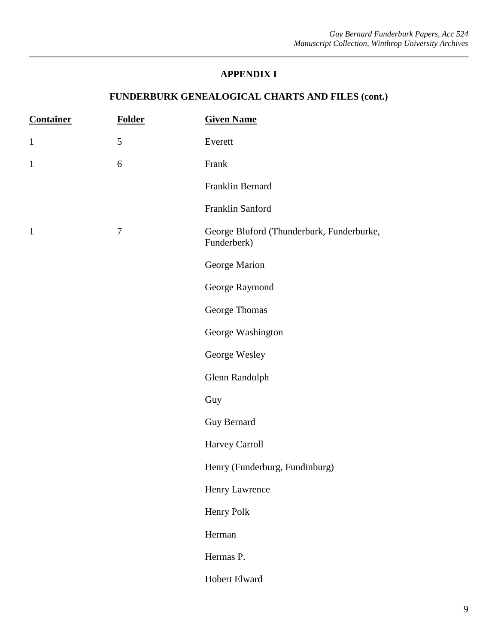| <b>Container</b> | <b>Folder</b>    | <b>Given Name</b>                                        |
|------------------|------------------|----------------------------------------------------------|
| $\mathbf{1}$     | 5                | Everett                                                  |
| $\mathbf{1}$     | 6                | Frank                                                    |
|                  |                  | Franklin Bernard                                         |
|                  |                  | Franklin Sanford                                         |
| $\mathbf{1}$     | $\boldsymbol{7}$ | George Bluford (Thunderburk, Funderburke,<br>Funderberk) |
|                  |                  | George Marion                                            |
|                  |                  | George Raymond                                           |
|                  |                  | George Thomas                                            |
|                  |                  | George Washington                                        |
|                  |                  | George Wesley                                            |
|                  |                  | Glenn Randolph                                           |
|                  |                  | Guy                                                      |
|                  |                  | Guy Bernard                                              |
|                  |                  | Harvey Carroll                                           |
|                  |                  | Henry (Funderburg, Fundinburg)                           |
|                  |                  | Henry Lawrence                                           |
|                  |                  | Henry Polk                                               |
|                  |                  | Herman                                                   |
|                  |                  | Hermas P.                                                |
|                  |                  | Hobert Elward                                            |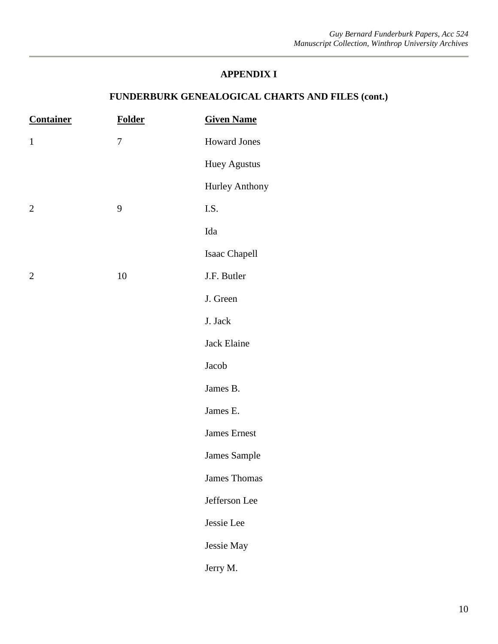| <b>Container</b> | <b>Folder</b>    | <b>Given Name</b>   |
|------------------|------------------|---------------------|
| $\mathbf{1}$     | $\boldsymbol{7}$ | <b>Howard Jones</b> |
|                  |                  | <b>Huey Agustus</b> |
|                  |                  | Hurley Anthony      |
| $\mathbf{2}$     | $\mathbf{9}$     | I.S.                |
|                  |                  | Ida                 |
|                  |                  | Isaac Chapell       |
| $\overline{2}$   | $10\,$           | J.F. Butler         |
|                  |                  | J. Green            |
|                  |                  | J. Jack             |
|                  |                  | Jack Elaine         |
|                  |                  | Jacob               |
|                  |                  | James B.            |
|                  |                  | James E.            |
|                  |                  | James Ernest        |
|                  |                  | James Sample        |
|                  |                  | James Thomas        |
|                  |                  | Jefferson Lee       |
|                  |                  | Jessie Lee          |
|                  |                  | Jessie May          |
|                  |                  | Jerry M.            |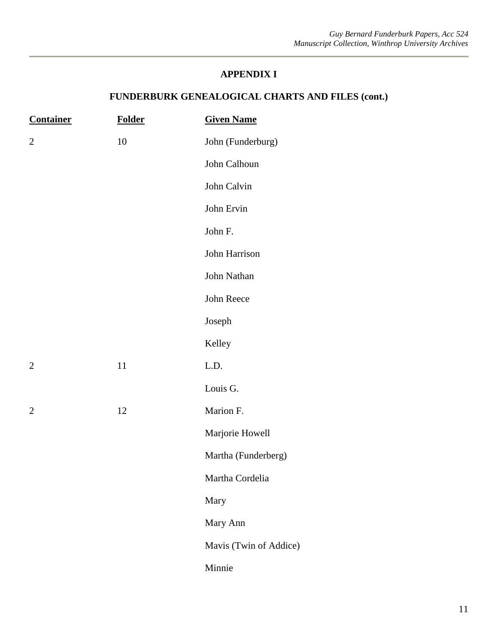| <b>Container</b> | <b>Folder</b> | <b>Given Name</b>      |
|------------------|---------------|------------------------|
| $\overline{2}$   | $10\,$        | John (Funderburg)      |
|                  |               | John Calhoun           |
|                  |               | John Calvin            |
|                  |               | John Ervin             |
|                  |               | John F.                |
|                  |               | John Harrison          |
|                  |               | John Nathan            |
|                  |               | John Reece             |
|                  |               | Joseph                 |
|                  |               | Kelley                 |
| $\overline{2}$   | 11            | L.D.                   |
|                  |               | Louis G.               |
| $\mathbf{2}$     | 12            | Marion F.              |
|                  |               | Marjorie Howell        |
|                  |               | Martha (Funderberg)    |
|                  |               | Martha Cordelia        |
|                  |               | Mary                   |
|                  |               | Mary Ann               |
|                  |               | Mavis (Twin of Addice) |
|                  |               | Minnie                 |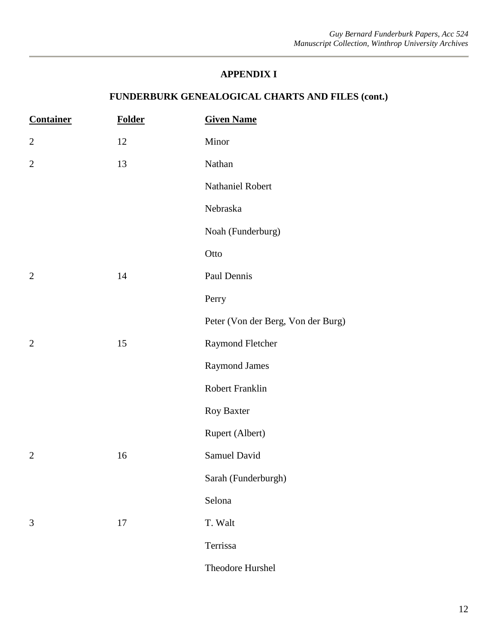| <b>Container</b> | <b>Folder</b> | <b>Given Name</b>                  |
|------------------|---------------|------------------------------------|
| $\mathbf{2}$     | 12            | Minor                              |
| $\overline{2}$   | 13            | Nathan                             |
|                  |               | Nathaniel Robert                   |
|                  |               | Nebraska                           |
|                  |               | Noah (Funderburg)                  |
|                  |               | Otto                               |
| $\overline{2}$   | 14            | Paul Dennis                        |
|                  |               | Perry                              |
|                  |               | Peter (Von der Berg, Von der Burg) |
| $\overline{2}$   | 15            | Raymond Fletcher                   |
|                  |               | <b>Raymond James</b>               |
|                  |               | Robert Franklin                    |
|                  |               | Roy Baxter                         |
|                  |               | Rupert (Albert)                    |
| $\overline{2}$   | 16            | Samuel David                       |
|                  |               | Sarah (Funderburgh)                |
|                  |               | Selona                             |
| 3                | 17            | T. Walt                            |
|                  |               | Terrissa                           |
|                  |               | Theodore Hurshel                   |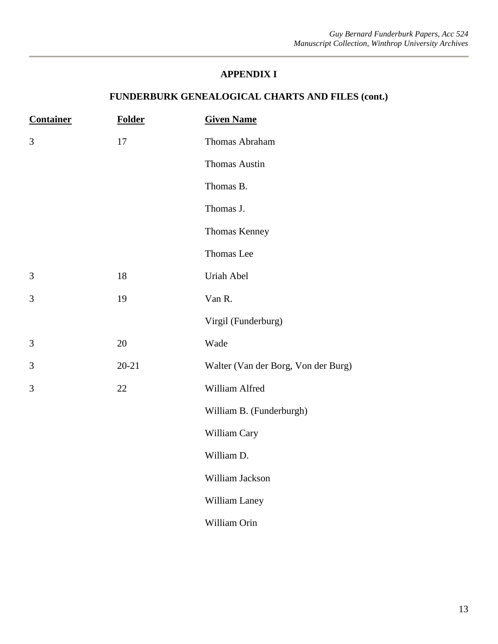| <b>Container</b> | <b>Folder</b> | <b>Given Name</b>                   |
|------------------|---------------|-------------------------------------|
| 3                | 17            | Thomas Abraham                      |
|                  |               | Thomas Austin                       |
|                  |               | Thomas B.                           |
|                  |               | Thomas J.                           |
|                  |               | Thomas Kenney                       |
|                  |               | Thomas Lee                          |
| 3                | 18            | Uriah Abel                          |
| 3                | 19            | Van R.                              |
|                  |               | Virgil (Funderburg)                 |
| 3                | 20            | Wade                                |
| 3                | $20 - 21$     | Walter (Van der Borg, Von der Burg) |
| 3                | 22            | William Alfred                      |
|                  |               | William B. (Funderburgh)            |
|                  |               | William Cary                        |
|                  |               | William D.                          |
|                  |               | William Jackson                     |
|                  |               | William Laney                       |
|                  |               | William Orin                        |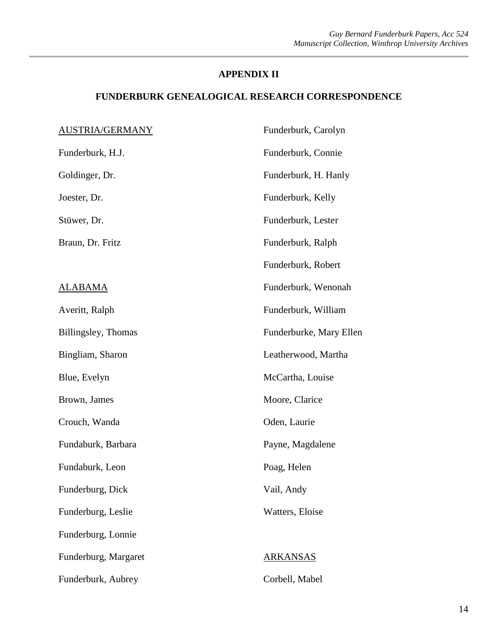| <b>AUSTRIA/GERMANY</b> | Funderburk, Carolyn     |
|------------------------|-------------------------|
| Funderburk, H.J.       | Funderburk, Connie      |
| Goldinger, Dr.         | Funderburk, H. Hanly    |
| Joester, Dr.           | Funderburk, Kelly       |
| Stüwer, Dr.            | Funderburk, Lester      |
| Braun, Dr. Fritz       | Funderburk, Ralph       |
|                        | Funderburk, Robert      |
| <u>ALABAMA</u>         | Funderburk, Wenonah     |
| Averitt, Ralph         | Funderburk, William     |
| Billingsley, Thomas    | Funderburke, Mary Ellen |
| Bingliam, Sharon       | Leatherwood, Martha     |
| Blue, Evelyn           | McCartha, Louise        |
| Brown, James           | Moore, Clarice          |
| Crouch, Wanda          | Oden, Laurie            |
| Fundaburk, Barbara     | Payne, Magdalene        |
| Fundaburk, Leon        | Poag, Helen             |
| Funderburg, Dick       | Vail, Andy              |
| Funderburg, Leslie     | Watters, Eloise         |
| Funderburg, Lonnie     |                         |
| Funderburg, Margaret   | <b>ARKANSAS</b>         |
| Funderburk, Aubrey     | Corbell, Mabel          |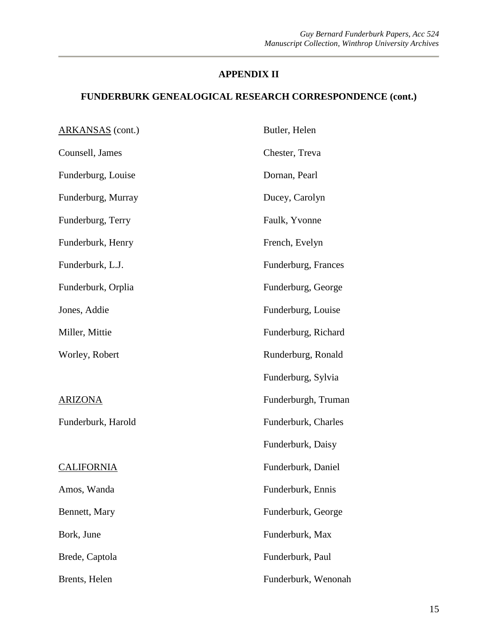| <b>ARKANSAS</b> (cont.) | Butler, Helen       |
|-------------------------|---------------------|
| Counsell, James         | Chester, Treva      |
| Funderburg, Louise      | Dornan, Pearl       |
| Funderburg, Murray      | Ducey, Carolyn      |
| Funderburg, Terry       | Faulk, Yvonne       |
| Funderburk, Henry       | French, Evelyn      |
| Funderburk, L.J.        | Funderburg, Frances |
| Funderburk, Orplia      | Funderburg, George  |
| Jones, Addie            | Funderburg, Louise  |
| Miller, Mittie          | Funderburg, Richard |
| Worley, Robert          | Runderburg, Ronald  |
|                         | Funderburg, Sylvia  |
| <b>ARIZONA</b>          | Funderburgh, Truman |
| Funderburk, Harold      | Funderburk, Charles |
|                         | Funderburk, Daisy   |
| <b>CALIFORNIA</b>       | Funderburk, Daniel  |
| Amos, Wanda             | Funderburk, Ennis   |
| Bennett, Mary           | Funderburk, George  |
| Bork, June              | Funderburk, Max     |
| Brede, Captola          | Funderburk, Paul    |
| Brents, Helen           | Funderburk, Wenonah |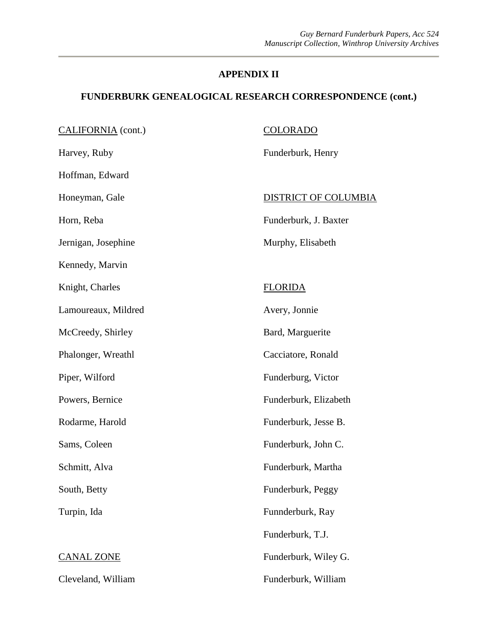| CALIFORNIA (cont.)  | <b>COLORADO</b>             |
|---------------------|-----------------------------|
| Harvey, Ruby        | Funderburk, Henry           |
| Hoffman, Edward     |                             |
| Honeyman, Gale      | <b>DISTRICT OF COLUMBIA</b> |
| Horn, Reba          | Funderburk, J. Baxter       |
| Jernigan, Josephine | Murphy, Elisabeth           |
| Kennedy, Marvin     |                             |
| Knight, Charles     | <b>FLORIDA</b>              |
| Lamoureaux, Mildred | Avery, Jonnie               |
| McCreedy, Shirley   | Bard, Marguerite            |
| Phalonger, Wreathl  | Cacciatore, Ronald          |
| Piper, Wilford      | Funderburg, Victor          |
| Powers, Bernice     | Funderburk, Elizabeth       |
| Rodarme, Harold     | Funderburk, Jesse B.        |
| Sams, Coleen        | Funderburk, John C.         |
| Schmitt, Alva       | Funderburk, Martha          |
| South, Betty        | Funderburk, Peggy           |
| Turpin, Ida         | Funnderburk, Ray            |
|                     | Funderburk, T.J.            |
| <b>CANAL ZONE</b>   | Funderburk, Wiley G.        |
| Cleveland, William  | Funderburk, William         |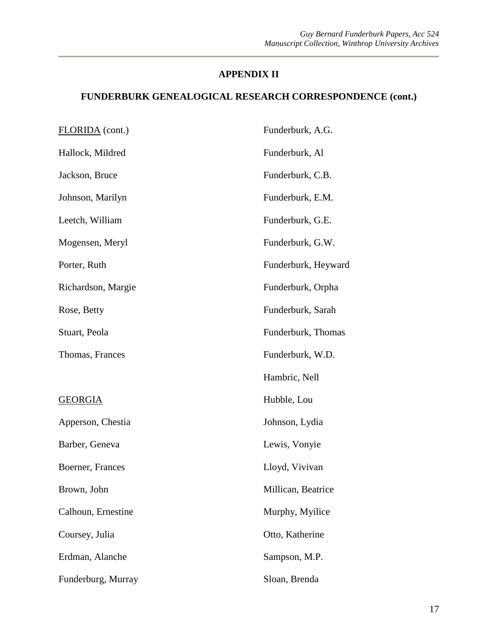| FLORIDA <sub>(cont.)</sub> | Funderburk, A.G.    |
|----------------------------|---------------------|
| Hallock, Mildred           | Funderburk, Al      |
| Jackson, Bruce             | Funderburk, C.B.    |
| Johnson, Marilyn           | Funderburk, E.M.    |
| Leetch, William            | Funderburk, G.E.    |
| Mogensen, Meryl            | Funderburk, G.W.    |
| Porter, Ruth               | Funderburk, Heyward |
| Richardson, Margie         | Funderburk, Orpha   |
| Rose, Betty                | Funderburk, Sarah   |
| Stuart, Peola              | Funderburk, Thomas  |
| Thomas, Frances            | Funderburk, W.D.    |
|                            | Hambric, Nell       |
| <b>GEORGIA</b>             | Hubble, Lou         |
| Apperson, Chestia          | Johnson, Lydia      |
| Barber, Geneva             | Lewis, Vonyie       |
| Boerner, Frances           | Lloyd, Vivivan      |
| Brown, John                | Millican, Beatrice  |
| Calhoun, Ernestine         | Murphy, Myilice     |
| Coursey, Julia             | Otto, Katherine     |
| Erdman, Alanche            | Sampson, M.P.       |
| Funderburg, Murray         | Sloan, Brenda       |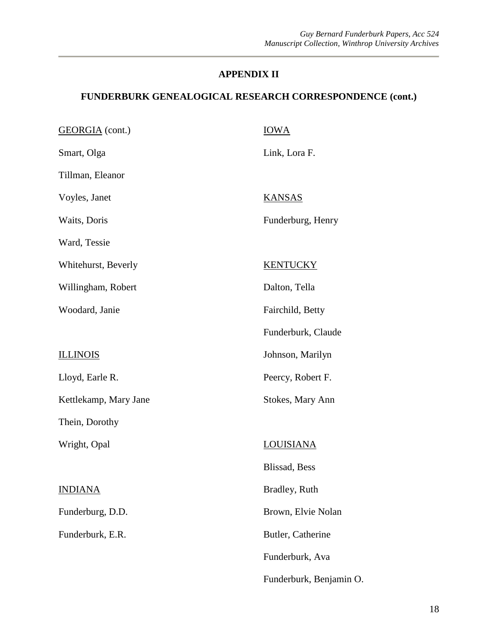| <b>GEORGIA</b> (cont.) | <b>IOWA</b>             |
|------------------------|-------------------------|
| Smart, Olga            | Link, Lora F.           |
| Tillman, Eleanor       |                         |
| Voyles, Janet          | <b>KANSAS</b>           |
| Waits, Doris           | Funderburg, Henry       |
| Ward, Tessie           |                         |
| Whitehurst, Beverly    | <b>KENTUCKY</b>         |
| Willingham, Robert     | Dalton, Tella           |
| Woodard, Janie         | Fairchild, Betty        |
|                        | Funderburk, Claude      |
| <b>ILLINOIS</b>        | Johnson, Marilyn        |
| Lloyd, Earle R.        | Peercy, Robert F.       |
| Kettlekamp, Mary Jane  | Stokes, Mary Ann        |
| Thein, Dorothy         |                         |
| Wright, Opal           | LOUISIANA               |
|                        | Blissad, Bess           |
| <b>INDIANA</b>         | Bradley, Ruth           |
| Funderburg, D.D.       | Brown, Elvie Nolan      |
| Funderburk, E.R.       | Butler, Catherine       |
|                        | Funderburk, Ava         |
|                        | Funderburk, Benjamin O. |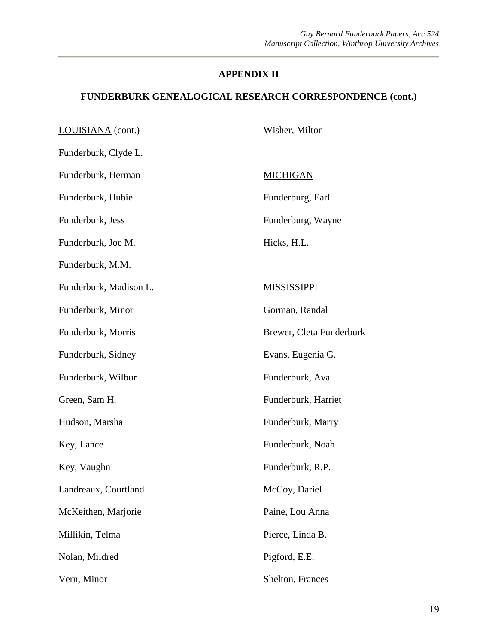| LOUISIANA (cont.)      | Wisher, Milton           |
|------------------------|--------------------------|
| Funderburk, Clyde L.   |                          |
| Funderburk, Herman     | <b>MICHIGAN</b>          |
| Funderburk, Hubie      | Funderburg, Earl         |
| Funderburk, Jess       | Funderburg, Wayne        |
| Funderburk, Joe M.     | Hicks, H.L.              |
| Funderburk, M.M.       |                          |
| Funderburk, Madison L. | <b>MISSISSIPPI</b>       |
| Funderburk, Minor      | Gorman, Randal           |
| Funderburk, Morris     | Brewer, Cleta Funderburk |
| Funderburk, Sidney     | Evans, Eugenia G.        |
| Funderburk, Wilbur     | Funderburk, Ava          |
| Green, Sam H.          | Funderburk, Harriet      |
| Hudson, Marsha         | Funderburk, Marry        |
| Key, Lance             | Funderburk, Noah         |
| Key, Vaughn            | Funderburk, R.P.         |
| Landreaux, Courtland   | McCoy, Dariel            |
| McKeithen, Marjorie    | Paine, Lou Anna          |
| Millikin, Telma        | Pierce, Linda B.         |
| Nolan, Mildred         | Pigford, E.E.            |
| Vern, Minor            | Shelton, Frances         |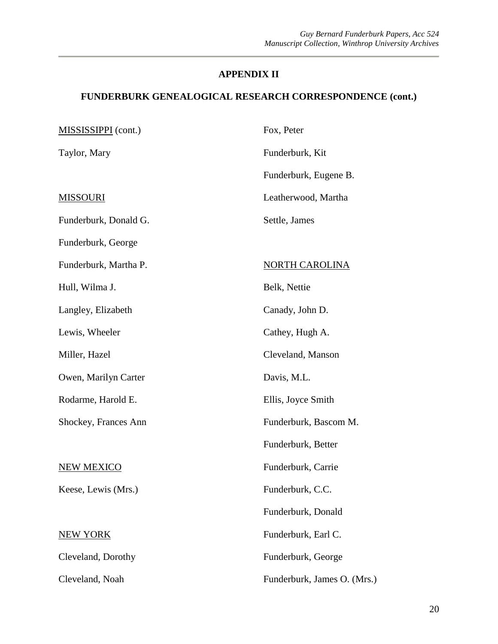| MISSISSIPPI (cont.)   | Fox, Peter                  |
|-----------------------|-----------------------------|
| Taylor, Mary          | Funderburk, Kit             |
|                       | Funderburk, Eugene B.       |
| <u>MISSOURI</u>       | Leatherwood, Martha         |
| Funderburk, Donald G. | Settle, James               |
| Funderburk, George    |                             |
| Funderburk, Martha P. | NORTH CAROLINA              |
| Hull, Wilma J.        | Belk, Nettie                |
| Langley, Elizabeth    | Canady, John D.             |
| Lewis, Wheeler        | Cathey, Hugh A.             |
| Miller, Hazel         | Cleveland, Manson           |
| Owen, Marilyn Carter  | Davis, M.L.                 |
| Rodarme, Harold E.    | Ellis, Joyce Smith          |
| Shockey, Frances Ann  | Funderburk, Bascom M.       |
|                       | Funderburk, Better          |
| <b>NEW MEXICO</b>     | Funderburk, Carrie          |
| Keese, Lewis (Mrs.)   | Funderburk, C.C.            |
|                       | Funderburk, Donald          |
| <b>NEW YORK</b>       | Funderburk, Earl C.         |
| Cleveland, Dorothy    | Funderburk, George          |
| Cleveland, Noah       | Funderburk, James O. (Mrs.) |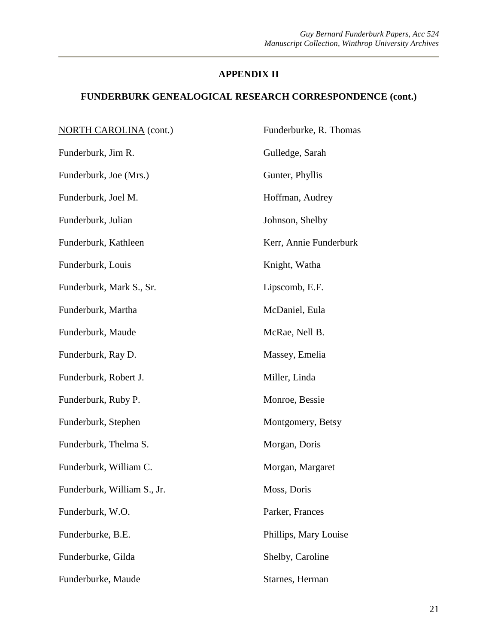| <b>NORTH CAROLINA</b> (cont.) | Funderburke, R. Thomas |
|-------------------------------|------------------------|
| Funderburk, Jim R.            | Gulledge, Sarah        |
| Funderburk, Joe (Mrs.)        | Gunter, Phyllis        |
| Funderburk, Joel M.           | Hoffman, Audrey        |
| Funderburk, Julian            | Johnson, Shelby        |
| Funderburk, Kathleen          | Kerr, Annie Funderburk |
| Funderburk, Louis             | Knight, Watha          |
| Funderburk, Mark S., Sr.      | Lipscomb, E.F.         |
| Funderburk, Martha            | McDaniel, Eula         |
| Funderburk, Maude             | McRae, Nell B.         |
| Funderburk, Ray D.            | Massey, Emelia         |
| Funderburk, Robert J.         | Miller, Linda          |
| Funderburk, Ruby P.           | Monroe, Bessie         |
| Funderburk, Stephen           | Montgomery, Betsy      |
| Funderburk, Thelma S.         | Morgan, Doris          |
| Funderburk, William C.        | Morgan, Margaret       |
| Funderburk, William S., Jr.   | Moss, Doris            |
| Funderburk, W.O.              | Parker, Frances        |
| Funderburke, B.E.             | Phillips, Mary Louise  |
| Funderburke, Gilda            | Shelby, Caroline       |
| Funderburke, Maude            | Starnes, Herman        |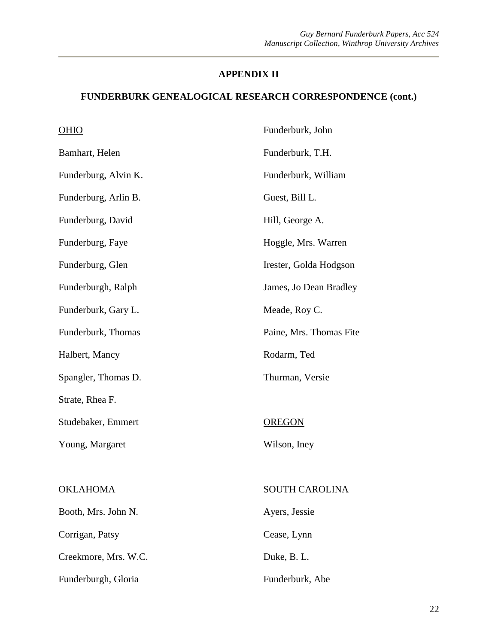#### **FUNDERBURK GENEALOGICAL RESEARCH CORRESPONDENCE (cont.)**

| <b>OHIO</b>          | Funderburk, John        |
|----------------------|-------------------------|
| Bamhart, Helen       | Funderburk, T.H.        |
| Funderburg, Alvin K. | Funderburk, William     |
| Funderburg, Arlin B. | Guest, Bill L.          |
| Funderburg, David    | Hill, George A.         |
| Funderburg, Faye     | Hoggle, Mrs. Warren     |
| Funderburg, Glen     | Irester, Golda Hodgson  |
| Funderburgh, Ralph   | James, Jo Dean Bradley  |
| Funderburk, Gary L.  | Meade, Roy C.           |
| Funderburk, Thomas   | Paine, Mrs. Thomas Fite |
| Halbert, Mancy       | Rodarm, Ted             |
| Spangler, Thomas D.  | Thurman, Versie         |
| Strate, Rhea F.      |                         |
| Studebaker, Emmert   | <b>OREGON</b>           |
| Young, Margaret      | Wilson, Iney            |
|                      |                         |
| <b>OKLAHOMA</b>      | <b>SOUTH CAROLINA</b>   |
| Booth, Mrs. John N.  | Ayers, Jessie           |
| Corrigan, Patsy      | Cease, Lynn             |
| Creekmore, Mrs. W.C. | Duke, B. L.             |

Funderburgh, Gloria

Funderburk, Abe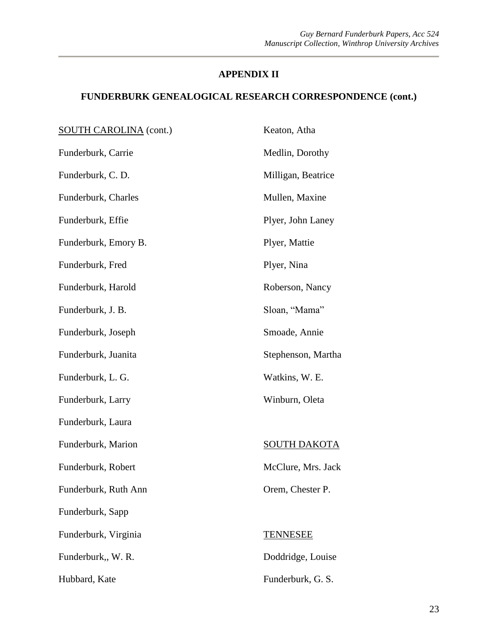| <b>SOUTH CAROLINA</b> (cont.) | Keaton, Atha        |
|-------------------------------|---------------------|
| Funderburk, Carrie            | Medlin, Dorothy     |
| Funderburk, C. D.             | Milligan, Beatrice  |
| Funderburk, Charles           | Mullen, Maxine      |
| Funderburk, Effie             | Plyer, John Laney   |
| Funderburk, Emory B.          | Plyer, Mattie       |
| Funderburk, Fred              | Plyer, Nina         |
| Funderburk, Harold            | Roberson, Nancy     |
| Funderburk, J. B.             | Sloan, "Mama"       |
| Funderburk, Joseph            | Smoade, Annie       |
| Funderburk, Juanita           | Stephenson, Martha  |
| Funderburk, L. G.             | Watkins, W. E.      |
| Funderburk, Larry             | Winburn, Oleta      |
| Funderburk, Laura             |                     |
| Funderburk, Marion            | <b>SOUTH DAKOTA</b> |
| Funderburk, Robert            | McClure, Mrs. Jack  |
| Funderburk, Ruth Ann          | Orem, Chester P.    |
| Funderburk, Sapp              |                     |
| Funderburk, Virginia          | <b>TENNESEE</b>     |
| Funderburk,, W. R.            | Doddridge, Louise   |
| Hubbard, Kate                 | Funderburk, G. S.   |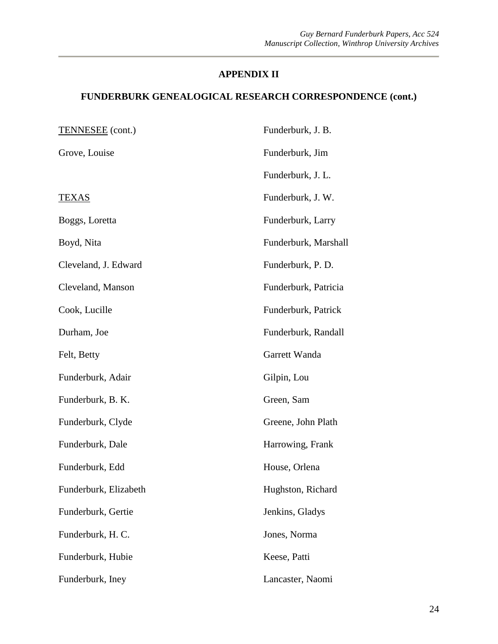| <b>TENNESEE</b> (cont.) | Funderburk, J. B.    |
|-------------------------|----------------------|
| Grove, Louise           | Funderburk, Jim      |
|                         | Funderburk, J. L.    |
| <b>TEXAS</b>            | Funderburk, J. W.    |
| Boggs, Loretta          | Funderburk, Larry    |
| Boyd, Nita              | Funderburk, Marshall |
| Cleveland, J. Edward    | Funderburk, P. D.    |
| Cleveland, Manson       | Funderburk, Patricia |
| Cook, Lucille           | Funderburk, Patrick  |
| Durham, Joe             | Funderburk, Randall  |
| Felt, Betty             | Garrett Wanda        |
| Funderburk, Adair       | Gilpin, Lou          |
| Funderburk, B. K.       | Green, Sam           |
| Funderburk, Clyde       | Greene, John Plath   |
| Funderburk, Dale        | Harrowing, Frank     |
| Funderburk, Edd         | House, Orlena        |
| Funderburk, Elizabeth   | Hughston, Richard    |
| Funderburk, Gertie      | Jenkins, Gladys      |
| Funderburk, H. C.       | Jones, Norma         |
| Funderburk, Hubie       | Keese, Patti         |
| Funderburk, Iney        | Lancaster, Naomi     |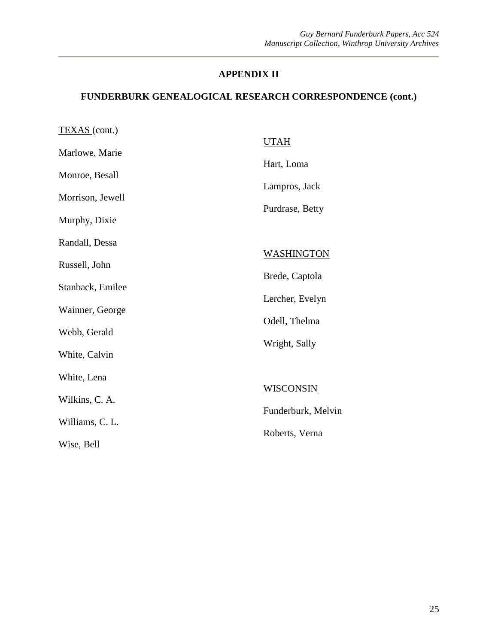| TEXAS (cont.)    |                    |
|------------------|--------------------|
| Marlowe, Marie   | <b>UTAH</b>        |
|                  | Hart, Loma         |
| Monroe, Besall   | Lampros, Jack      |
| Morrison, Jewell |                    |
| Murphy, Dixie    | Purdrase, Betty    |
| Randall, Dessa   |                    |
| Russell, John    | <b>WASHINGTON</b>  |
| Stanback, Emilee | Brede, Captola     |
|                  | Lercher, Evelyn    |
| Wainner, George  | Odell, Thelma      |
| Webb, Gerald     |                    |
| White, Calvin    | Wright, Sally      |
| White, Lena      |                    |
| Wilkins, C. A.   | WISCONSIN          |
|                  | Funderburk, Melvin |
| Williams, C. L.  | Roberts, Verna     |
| Wise, Bell       |                    |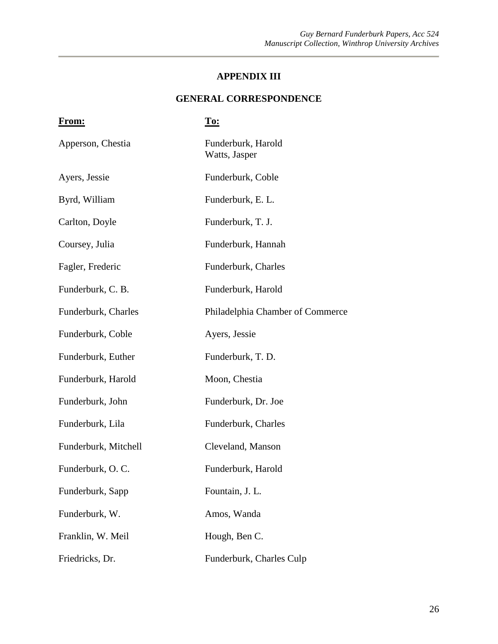#### **GENERAL CORRESPONDENCE**

| <u>From:</u>         | <u>To:</u>                          |
|----------------------|-------------------------------------|
| Apperson, Chestia    | Funderburk, Harold<br>Watts, Jasper |
| Ayers, Jessie        | Funderburk, Coble                   |
| Byrd, William        | Funderburk, E. L.                   |
| Carlton, Doyle       | Funderburk, T. J.                   |
| Coursey, Julia       | Funderburk, Hannah                  |
| Fagler, Frederic     | Funderburk, Charles                 |
| Funderburk, C. B.    | Funderburk, Harold                  |
| Funderburk, Charles  | Philadelphia Chamber of Commerce    |
| Funderburk, Coble    | Ayers, Jessie                       |
| Funderburk, Euther   | Funderburk, T. D.                   |
| Funderburk, Harold   | Moon, Chestia                       |
| Funderburk, John     | Funderburk, Dr. Joe                 |
| Funderburk, Lila     | Funderburk, Charles                 |
| Funderburk, Mitchell | Cleveland, Manson                   |
| Funderburk, O.C.     | Funderburk, Harold                  |
| Funderburk, Sapp     | Fountain, J. L.                     |
| Funderburk, W.       | Amos, Wanda                         |
| Franklin, W. Meil    | Hough, Ben C.                       |
| Friedricks, Dr.      | Funderburk, Charles Culp            |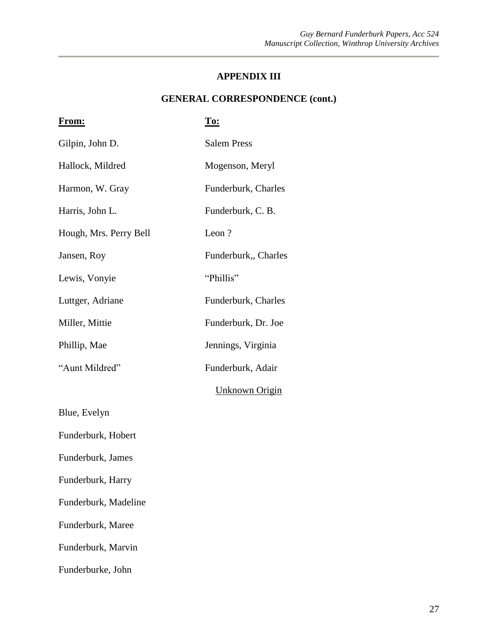#### **GENERAL CORRESPONDENCE (cont.)**

| <u>From:</u>           | <u>To:</u>          |
|------------------------|---------------------|
| Gilpin, John D.        | <b>Salem Press</b>  |
| Hallock, Mildred       | Mogenson, Meryl     |
| Harmon, W. Gray        | Funderburk, Charles |
| Harris, John L.        | Funderburk, C. B.   |
| Hough, Mrs. Perry Bell | Leon?               |
| Jansen, Roy            | Funderburk, Charles |
| Lewis, Vonyie          | "Phillis"           |
| Luttger, Adriane       | Funderburk, Charles |
| Miller, Mittie         | Funderburk, Dr. Joe |
| Phillip, Mae           | Jennings, Virginia  |
| "Aunt Mildred"         | Funderburk, Adair   |
|                        | Unknown Origin      |
| Blue, Evelyn           |                     |
| Funderburk, Hobert     |                     |
| Funderburk, James      |                     |
| Funderburk, Harry      |                     |
| Funderburk, Madeline   |                     |
| Funderburk, Maree      |                     |
| Funderburk, Marvin     |                     |
| Funderburke, John      |                     |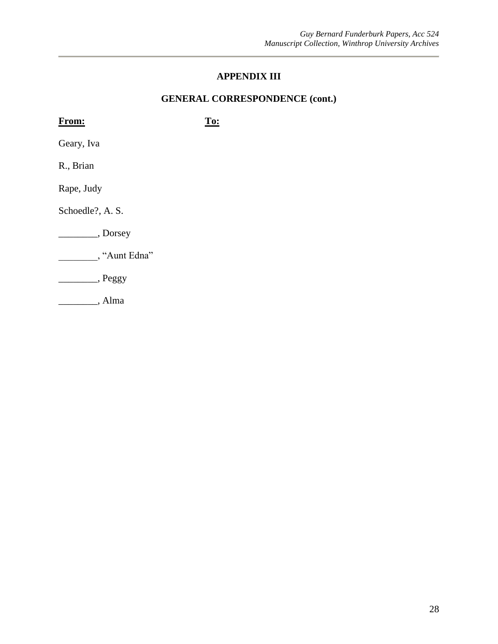#### **GENERAL CORRESPONDENCE (cont.)**

| <b>From:</b>     | To: |
|------------------|-----|
| Geary, Iva       |     |
| R., Brian        |     |
| Rape, Judy       |     |
| Schoedle?, A. S. |     |
| , Dorsey         |     |
| , "Aunt Edna"    |     |
| , Peggy          |     |
| , Alma           |     |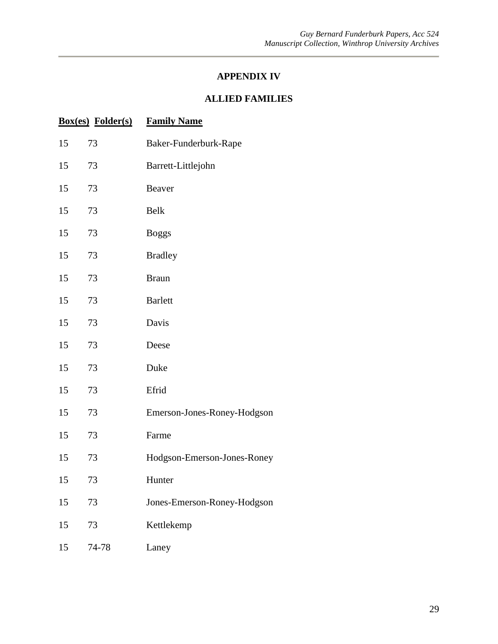#### **ALLIED FAMILIES**

|    | <b>Box(es)</b> Folder(s) | <b>Family Name</b>          |
|----|--------------------------|-----------------------------|
| 15 | 73                       | Baker-Funderburk-Rape       |
| 15 | 73                       | Barrett-Littlejohn          |
| 15 | 73                       | Beaver                      |
| 15 | 73                       | Belk                        |
| 15 | 73                       | <b>Boggs</b>                |
| 15 | 73                       | <b>Bradley</b>              |
| 15 | 73                       | <b>Braun</b>                |
| 15 | 73                       | <b>Barlett</b>              |
| 15 | 73                       | Davis                       |
| 15 | 73                       | Deese                       |
| 15 | 73                       | Duke                        |
| 15 | 73                       | Efrid                       |
| 15 | 73                       | Emerson-Jones-Roney-Hodgson |
| 15 | 73                       | Farme                       |
| 15 | 73                       | Hodgson-Emerson-Jones-Roney |
| 15 | 73                       | Hunter                      |
| 15 | 73                       | Jones-Emerson-Roney-Hodgson |
| 15 | 73                       | Kettlekemp                  |
| 15 | 74-78                    | Laney                       |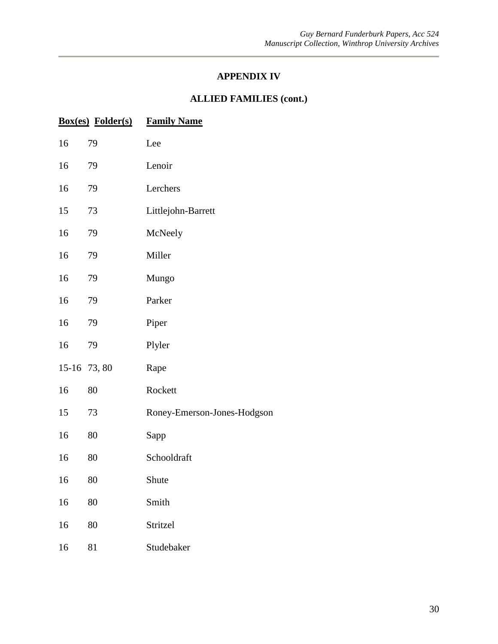#### **ALLIED FAMILIES (cont.)**

|    | <b>Box(es)</b> Folder(s) | <b>Family Name</b>          |
|----|--------------------------|-----------------------------|
| 16 | 79                       | Lee                         |
| 16 | 79                       | Lenoir                      |
| 16 | 79                       | Lerchers                    |
| 15 | 73                       | Littlejohn-Barrett          |
| 16 | 79                       | McNeely                     |
| 16 | 79                       | Miller                      |
| 16 | 79                       | Mungo                       |
| 16 | 79                       | Parker                      |
| 16 | 79                       | Piper                       |
| 16 | 79                       | Plyler                      |
|    | 15-16 73,80              | Rape                        |
| 16 | 80                       | Rockett                     |
| 15 | 73                       | Roney-Emerson-Jones-Hodgson |
| 16 | 80                       | Sapp                        |
| 16 | 80                       | Schooldraft                 |
| 16 | 80                       | Shute                       |
| 16 | 80                       | Smith                       |
| 16 | 80                       | Stritzel                    |
| 16 | 81                       | Studebaker                  |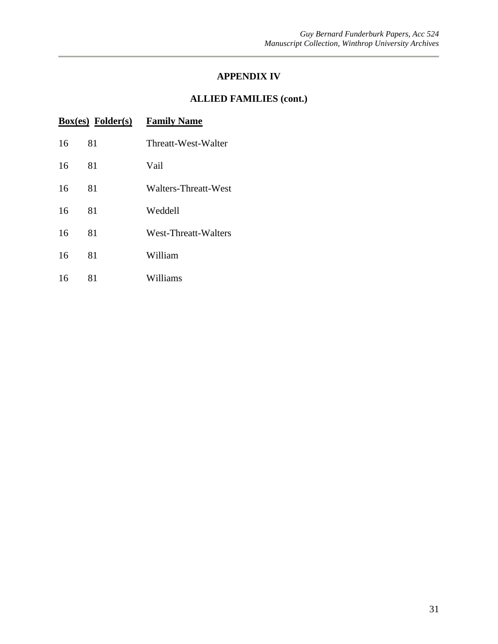#### **ALLIED FAMILIES (cont.)**

|    | $Box(es)$ Folder $(s)$ | <b>Family Name</b>   |
|----|------------------------|----------------------|
| 16 | 81                     | Threatt-West-Walter  |
| 16 | 81                     | Vail                 |
| 16 | 81                     | Walters-Threatt-West |
| 16 | 81                     | Weddell              |
| 16 | 81                     | West-Threatt-Walters |
| 16 | 81                     | William              |
| 16 | 81                     | Williams             |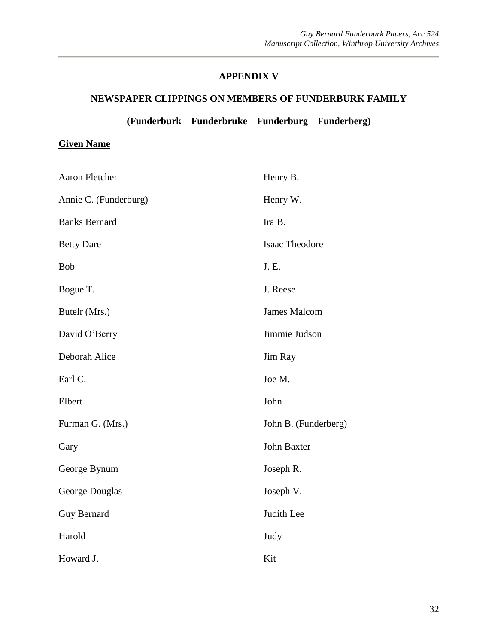#### **APPENDIX V**

#### **NEWSPAPER CLIPPINGS ON MEMBERS OF FUNDERBURK FAMILY**

#### **(Funderburk – Funderbruke – Funderburg – Funderberg)**

#### **Given Name**

| Aaron Fletcher        | Henry B.             |
|-----------------------|----------------------|
| Annie C. (Funderburg) | Henry W.             |
| <b>Banks Bernard</b>  | Ira B.               |
| <b>Betty Dare</b>     | Isaac Theodore       |
| Bob                   | J. E.                |
| Bogue T.              | J. Reese             |
| Butelr (Mrs.)         | <b>James Malcom</b>  |
| David O'Berry         | Jimmie Judson        |
| Deborah Alice         | Jim Ray              |
| Earl C.               | Joe M.               |
| Elbert                | John                 |
| Furman G. (Mrs.)      | John B. (Funderberg) |
| Gary                  | John Baxter          |
| George Bynum          | Joseph R.            |
| George Douglas        | Joseph V.            |
| <b>Guy Bernard</b>    | Judith Lee           |
| Harold                | Judy                 |
| Howard J.             | Kit                  |